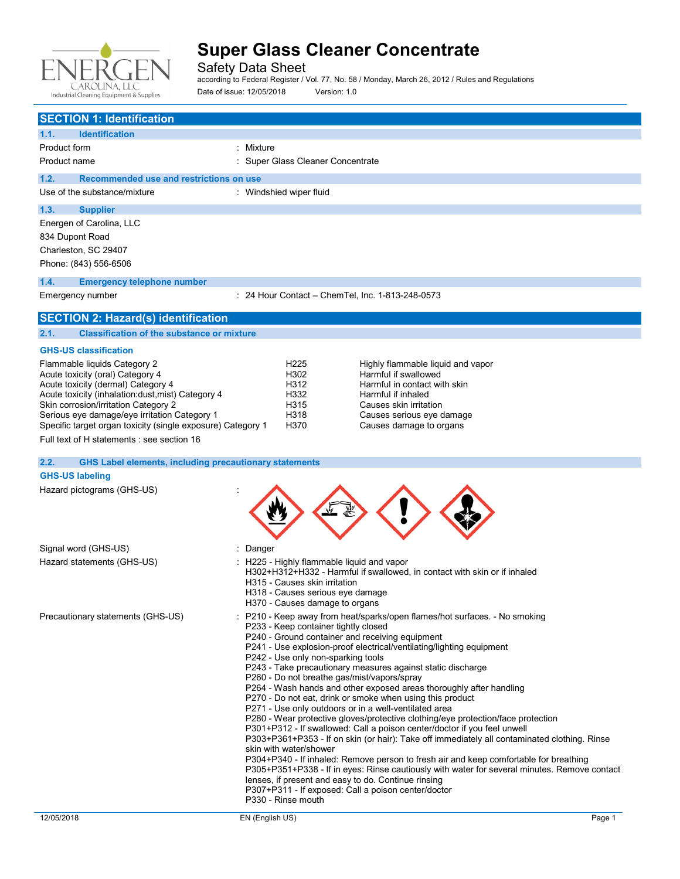

Safety Data Sheet

according to Federal Register / Vol. 77, No. 58 / Monday, March 26, 2012 / Rules and Regulations Date of issue: 12/05/2018 Version: 1.0

| <b>SECTION 1: Identification</b>                |                                                  |  |
|-------------------------------------------------|--------------------------------------------------|--|
| <b>Identification</b><br>1.1.                   |                                                  |  |
| Product form                                    | : Mixture                                        |  |
| Product name                                    | : Super Glass Cleaner Concentrate                |  |
| Recommended use and restrictions on use<br>1.2. |                                                  |  |
| Use of the substance/mixture                    | : Windshied wiper fluid                          |  |
| 1.3.<br><b>Supplier</b>                         |                                                  |  |
| Energen of Carolina, LLC                        |                                                  |  |
| 834 Dupont Road                                 |                                                  |  |
| Charleston, SC 29407                            |                                                  |  |
| Phone: (843) 556-6506                           |                                                  |  |
| <b>Emergency telephone number</b><br>1.4.       |                                                  |  |
| Emergency number                                | : 24 Hour Contact - ChemTel, Inc. 1-813-248-0573 |  |
| <b>SECTION 2: Hazard(s) identification</b>      |                                                  |  |

### **2.1. Classification of the substance or mixture**

#### **GHS-US classification**

| Flammable liquids Category 2                                | H <sub>225</sub> |
|-------------------------------------------------------------|------------------|
| Acute toxicity (oral) Category 4                            | H302             |
| Acute toxicity (dermal) Category 4                          | H312             |
| Acute toxicity (inhalation:dust, mist) Category 4           | H332             |
| Skin corrosion/irritation Category 2                        | H <sub>315</sub> |
| Serious eye damage/eye irritation Category 1                | H318             |
| Specific target organ toxicity (single exposure) Category 1 | H370             |

Highly flammable liquid and vapor Harmful if swallowed Harmful in contact with skin Harmful if inhaled Causes skin irritation Causes serious eye damage Causes damage to organs

Full text of H statements : see section 16

### **2.2. GHS Label elements, including precautionary statements**

### **GHS-US labeling**

Hazard pictograms (GHS-US) :

| Signal word (GHS-US)              | : Danger                                                                                                                                                                                                                                                                                                                                                                                                                                                                                                                                                                                                                                                                                                                                                                                                                                                                                                                                                                                                                                                                                                                                                                                                              |
|-----------------------------------|-----------------------------------------------------------------------------------------------------------------------------------------------------------------------------------------------------------------------------------------------------------------------------------------------------------------------------------------------------------------------------------------------------------------------------------------------------------------------------------------------------------------------------------------------------------------------------------------------------------------------------------------------------------------------------------------------------------------------------------------------------------------------------------------------------------------------------------------------------------------------------------------------------------------------------------------------------------------------------------------------------------------------------------------------------------------------------------------------------------------------------------------------------------------------------------------------------------------------|
| Hazard statements (GHS-US)        | : H225 - Highly flammable liquid and vapor<br>H302+H312+H332 - Harmful if swallowed, in contact with skin or if inhaled<br>H315 - Causes skin irritation<br>H318 - Causes serious eye damage<br>H370 - Causes damage to organs                                                                                                                                                                                                                                                                                                                                                                                                                                                                                                                                                                                                                                                                                                                                                                                                                                                                                                                                                                                        |
| Precautionary statements (GHS-US) | : P210 - Keep away from heat/sparks/open flames/hot surfaces. - No smoking<br>P233 - Keep container tightly closed<br>P240 - Ground container and receiving equipment<br>P241 - Use explosion-proof electrical/ventilating/lighting equipment<br>P242 - Use only non-sparking tools<br>P243 - Take precautionary measures against static discharge<br>P260 - Do not breathe gas/mist/vapors/spray<br>P264 - Wash hands and other exposed areas thoroughly after handling<br>P270 - Do not eat, drink or smoke when using this product<br>P271 - Use only outdoors or in a well-ventilated area<br>P280 - Wear protective gloves/protective clothing/eye protection/face protection<br>P301+P312 - If swallowed: Call a poison center/doctor if you feel unwell<br>P303+P361+P353 - If on skin (or hair): Take off immediately all contaminated clothing. Rinse<br>skin with water/shower<br>P304+P340 - If inhaled: Remove person to fresh air and keep comfortable for breathing<br>P305+P351+P338 - If in eyes: Rinse cautiously with water for several minutes. Remove contact<br>lenses, if present and easy to do. Continue rinsing<br>P307+P311 - If exposed: Call a poison center/doctor<br>P330 - Rinse mouth |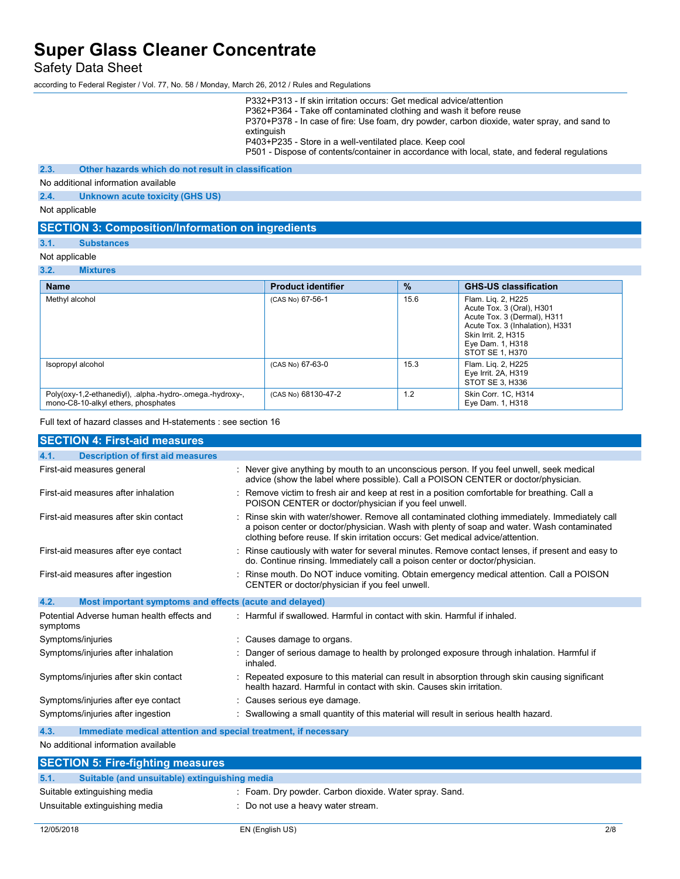Safety Data Sheet

according to Federal Register / Vol. 77, No. 58 / Monday, March 26, 2012 / Rules and Regulations

P332+P313 - If skin irritation occurs: Get medical advice/attention P362+P364 - Take off contaminated clothing and wash it before reuse P370+P378 - In case of fire: Use foam, dry powder, carbon dioxide, water spray, and sand to extinguish P403+P235 - Store in a well-ventilated place. Keep cool P501 - Dispose of contents/container in accordance with local, state, and federal regulations

### **2.3. Other hazards which do not result in classification**

No additional information available

**2.4. Unknown acute toxicity (GHS US)**

Not applicable

#### **SECTION 3: Composition/Information on ingredients**

**3.1. Substances**

### Not applicable

#### **3.2. Mixtures Name Product identifier % GHS-US classification** Methyl alcohol **Example 2** CAS No) 67-56-1 15.6 Flam. Liq. 2, H225 Acute Tox. 3 (Oral), H301 Acute Tox. 3 (Dermal), H311 Acute Tox. 3 (Inhalation), H331 Skin Irrit. 2, H315 Eye Dam. 1, H318 STOT SE 1, H370 Isopropyl alcohol (CAS No) 67-63-0 15.3 Flam. Liq. 2, H225 Eye Irrit. 2A, H319 STOT SE 3, H336 Poly(oxy-1,2-ethanediyl), .alpha.-hydro-.omega.-hydroxy-, mono-C8-10-alkyl ethers, phosphates (CAS No) 68130-47-2 1.2 Skin Corr. 1C, H314<br>Eye Dam. 1, H318

Full text of hazard classes and H-statements : see section 16

| <b>SECTION 4: First-aid measures</b>                                    |                                                                                                                                                                                                                                                                                 |
|-------------------------------------------------------------------------|---------------------------------------------------------------------------------------------------------------------------------------------------------------------------------------------------------------------------------------------------------------------------------|
| <b>Description of first aid measures</b><br>4.1.                        |                                                                                                                                                                                                                                                                                 |
| First-aid measures general                                              | : Never give anything by mouth to an unconscious person. If you feel unwell, seek medical<br>advice (show the label where possible). Call a POISON CENTER or doctor/physician.                                                                                                  |
| First-aid measures after inhalation                                     | : Remove victim to fresh air and keep at rest in a position comfortable for breathing. Call a<br>POISON CENTER or doctor/physician if you feel unwell.                                                                                                                          |
| First-aid measures after skin contact                                   | : Rinse skin with water/shower. Remove all contaminated clothing immediately. Immediately call<br>a poison center or doctor/physician. Wash with plenty of soap and water. Wash contaminated<br>clothing before reuse. If skin irritation occurs: Get medical advice/attention. |
| First-aid measures after eye contact                                    | : Rinse cautiously with water for several minutes. Remove contact lenses, if present and easy to<br>do. Continue rinsing. Immediately call a poison center or doctor/physician.                                                                                                 |
| First-aid measures after ingestion                                      | : Rinse mouth. Do NOT induce vomiting. Obtain emergency medical attention. Call a POISON<br>CENTER or doctor/physician if you feel unwell.                                                                                                                                      |
| 4.2.<br>Most important symptoms and effects (acute and delayed)         |                                                                                                                                                                                                                                                                                 |
| Potential Adverse human health effects and<br>symptoms                  | : Harmful if swallowed. Harmful in contact with skin. Harmful if inhaled.                                                                                                                                                                                                       |
| Symptoms/injuries                                                       | : Causes damage to organs.                                                                                                                                                                                                                                                      |
| Symptoms/injuries after inhalation                                      | Danger of serious damage to health by prolonged exposure through inhalation. Harmful if<br>inhaled.                                                                                                                                                                             |
| Symptoms/injuries after skin contact                                    | Repeated exposure to this material can result in absorption through skin causing significant<br>health hazard. Harmful in contact with skin, Causes skin irritation.                                                                                                            |
| Symptoms/injuries after eye contact                                     | : Causes serious eye damage.                                                                                                                                                                                                                                                    |
| Symptoms/injuries after ingestion                                       | : Swallowing a small quantity of this material will result in serious health hazard.                                                                                                                                                                                            |
| 4.3.<br>Immediate medical attention and special treatment, if necessary |                                                                                                                                                                                                                                                                                 |
| No additional information available                                     |                                                                                                                                                                                                                                                                                 |

#### additional information availa

| <b>SECTION 5: Fire-fighting measures</b>              |                                                        |  |
|-------------------------------------------------------|--------------------------------------------------------|--|
| 5.1.<br>Suitable (and unsuitable) extinguishing media |                                                        |  |
| Suitable extinguishing media                          | : Foam. Dry powder. Carbon dioxide. Water spray. Sand. |  |
| Unsuitable extinguishing media                        | : Do not use a heavy water stream.                     |  |
|                                                       |                                                        |  |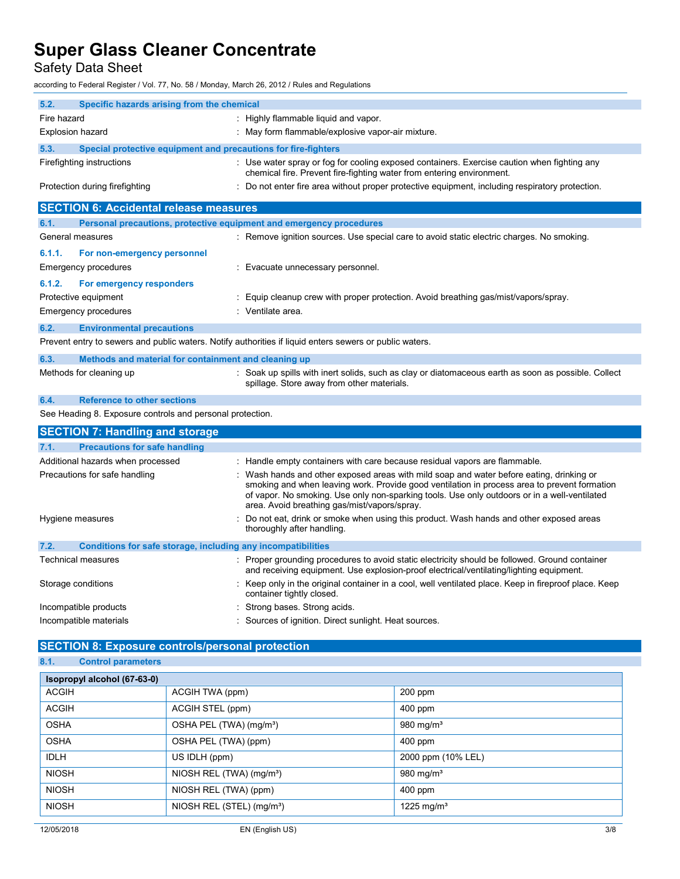Safety Data Sheet

according to Federal Register / Vol. 77, No. 58 / Monday, March 26, 2012 / Rules and Regulations

| 5.2.                                                                 | Specific hazards arising from the chemical                          |                                                                                                                                                                                                                                                                                                                                        |
|----------------------------------------------------------------------|---------------------------------------------------------------------|----------------------------------------------------------------------------------------------------------------------------------------------------------------------------------------------------------------------------------------------------------------------------------------------------------------------------------------|
| Fire hazard                                                          |                                                                     | : Highly flammable liquid and vapor.                                                                                                                                                                                                                                                                                                   |
| Explosion hazard                                                     |                                                                     | : May form flammable/explosive vapor-air mixture.                                                                                                                                                                                                                                                                                      |
| 5.3.                                                                 | Special protective equipment and precautions for fire-fighters      |                                                                                                                                                                                                                                                                                                                                        |
|                                                                      | Firefighting instructions                                           | : Use water spray or fog for cooling exposed containers. Exercise caution when fighting any<br>chemical fire. Prevent fire-fighting water from entering environment.                                                                                                                                                                   |
|                                                                      | Protection during firefighting                                      | Do not enter fire area without proper protective equipment, including respiratory protection.                                                                                                                                                                                                                                          |
|                                                                      | <b>SECTION 6: Accidental release measures</b>                       |                                                                                                                                                                                                                                                                                                                                        |
| 6.1.                                                                 | Personal precautions, protective equipment and emergency procedures |                                                                                                                                                                                                                                                                                                                                        |
|                                                                      | General measures                                                    | : Remove ignition sources. Use special care to avoid static electric charges. No smoking.                                                                                                                                                                                                                                              |
| 6.1.1.                                                               | For non-emergency personnel                                         |                                                                                                                                                                                                                                                                                                                                        |
|                                                                      | <b>Emergency procedures</b>                                         | : Evacuate unnecessary personnel.                                                                                                                                                                                                                                                                                                      |
| 6.1.2.                                                               | For emergency responders                                            |                                                                                                                                                                                                                                                                                                                                        |
|                                                                      | Protective equipment                                                | Equip cleanup crew with proper protection. Avoid breathing gas/mist/vapors/spray.                                                                                                                                                                                                                                                      |
|                                                                      | <b>Emergency procedures</b>                                         | : Ventilate area.                                                                                                                                                                                                                                                                                                                      |
| 6.2.                                                                 | <b>Environmental precautions</b>                                    |                                                                                                                                                                                                                                                                                                                                        |
|                                                                      |                                                                     | Prevent entry to sewers and public waters. Notify authorities if liquid enters sewers or public waters.                                                                                                                                                                                                                                |
| 6.3.                                                                 | Methods and material for containment and cleaning up                |                                                                                                                                                                                                                                                                                                                                        |
|                                                                      | Methods for cleaning up                                             | : Soak up spills with inert solids, such as clay or diatomaceous earth as soon as possible. Collect<br>spillage. Store away from other materials.                                                                                                                                                                                      |
| 6.4.                                                                 | <b>Reference to other sections</b>                                  |                                                                                                                                                                                                                                                                                                                                        |
|                                                                      | See Heading 8. Exposure controls and personal protection.           |                                                                                                                                                                                                                                                                                                                                        |
|                                                                      | <b>SECTION 7: Handling and storage</b>                              |                                                                                                                                                                                                                                                                                                                                        |
| 7.1.                                                                 | <b>Precautions for safe handling</b>                                |                                                                                                                                                                                                                                                                                                                                        |
|                                                                      | Additional hazards when processed                                   | : Handle empty containers with care because residual vapors are flammable.                                                                                                                                                                                                                                                             |
|                                                                      | Precautions for safe handling                                       | Wash hands and other exposed areas with mild soap and water before eating, drinking or<br>smoking and when leaving work. Provide good ventilation in process area to prevent formation<br>of vapor. No smoking. Use only non-sparking tools. Use only outdoors or in a well-ventilated<br>area. Avoid breathing gas/mist/vapors/spray. |
|                                                                      | Hygiene measures                                                    | Do not eat, drink or smoke when using this product. Wash hands and other exposed areas<br>thoroughly after handling.                                                                                                                                                                                                                   |
| Conditions for safe storage, including any incompatibilities<br>7.2. |                                                                     |                                                                                                                                                                                                                                                                                                                                        |
|                                                                      | Technical measures                                                  | : Proper grounding procedures to avoid static electricity should be followed. Ground container<br>and receiving equipment. Use explosion-proof electrical/ventilating/lighting equipment.                                                                                                                                              |
|                                                                      | Storage conditions                                                  | Keep only in the original container in a cool, well ventilated place. Keep in fireproof place. Keep<br>container tightly closed.                                                                                                                                                                                                       |
|                                                                      | Incompatible products                                               | Strong bases. Strong acids.                                                                                                                                                                                                                                                                                                            |
|                                                                      | Incompatible materials                                              | Sources of ignition. Direct sunlight. Heat sources.                                                                                                                                                                                                                                                                                    |

### **SECTION 8: Exposure controls/personal protection 8.1. Control parameters**

| Isopropyl alcohol (67-63-0) |                                       |                        |
|-----------------------------|---------------------------------------|------------------------|
| <b>ACGIH</b>                | ACGIH TWA (ppm)                       | $200$ ppm              |
| <b>ACGIH</b>                | ACGIH STEL (ppm)                      | 400 ppm                |
| <b>OSHA</b>                 | OSHA PEL (TWA) (mg/m <sup>3</sup> )   | 980 mg/m $3$           |
| <b>OSHA</b>                 | OSHA PEL (TWA) (ppm)                  | $400$ ppm              |
| <b>IDLH</b>                 | US IDLH (ppm)                         | 2000 ppm (10% LEL)     |
| <b>NIOSH</b>                | NIOSH REL (TWA) (mg/m <sup>3</sup> )  | 980 mg/m $3$           |
| <b>NIOSH</b>                | NIOSH REL (TWA) (ppm)                 | $400$ ppm              |
| <b>NIOSH</b>                | NIOSH REL (STEL) (mg/m <sup>3</sup> ) | 1225 mg/m <sup>3</sup> |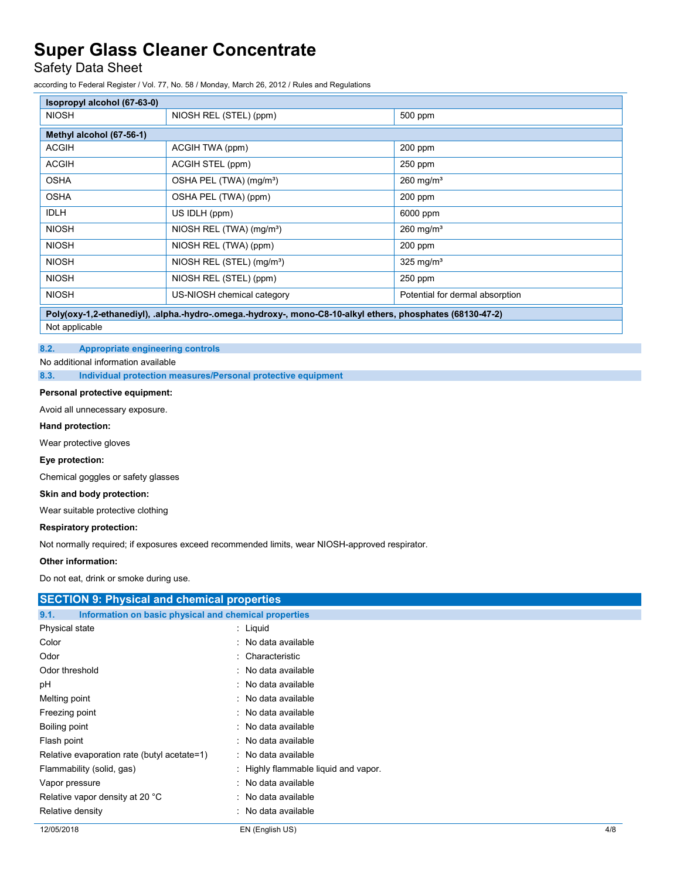### Safety Data Sheet

according to Federal Register / Vol. 77, No. 58 / Monday, March 26, 2012 / Rules and Regulations

| Isopropyl alcohol (67-63-0)                                                                                         |                                       |                                 |  |
|---------------------------------------------------------------------------------------------------------------------|---------------------------------------|---------------------------------|--|
| <b>NIOSH</b>                                                                                                        | NIOSH REL (STEL) (ppm)                | 500 ppm                         |  |
| Methyl alcohol (67-56-1)                                                                                            |                                       |                                 |  |
| <b>ACGIH</b>                                                                                                        | ACGIH TWA (ppm)                       | $200$ ppm                       |  |
| <b>ACGIH</b>                                                                                                        | ACGIH STEL (ppm)                      | 250 ppm                         |  |
| <b>OSHA</b>                                                                                                         | OSHA PEL (TWA) (mg/m <sup>3</sup> )   | $260$ mg/m <sup>3</sup>         |  |
| <b>OSHA</b>                                                                                                         | OSHA PEL (TWA) (ppm)                  | $200$ ppm                       |  |
| <b>IDLH</b>                                                                                                         | US IDLH (ppm)                         | 6000 ppm                        |  |
| <b>NIOSH</b>                                                                                                        | NIOSH REL (TWA) (mg/m <sup>3</sup> )  | $260$ mg/m <sup>3</sup>         |  |
| <b>NIOSH</b>                                                                                                        | NIOSH REL (TWA) (ppm)                 | $200$ ppm                       |  |
| <b>NIOSH</b>                                                                                                        | NIOSH REL (STEL) (mg/m <sup>3</sup> ) | 325 mg/ $m3$                    |  |
| <b>NIOSH</b>                                                                                                        | NIOSH REL (STEL) (ppm)                | 250 ppm                         |  |
| <b>NIOSH</b>                                                                                                        | US-NIOSH chemical category            | Potential for dermal absorption |  |
| Delufanud O ethnicaliul), alicha, burdua, ancona, burduanu, incona<br>CO 40 ellerlightere releasebates (CO400 47.0) |                                       |                                 |  |

**Poly(oxy-1,2-ethanediyl), .alpha.-hydro-.omega.-hydroxy-, mono-C8-10-alkyl ethers, phosphates (68130-47-2)**

Not applicable

### **8.2. Appropriate engineering controls**

No additional information available

**8.3. Individual protection measures/Personal protective equipment**

### **Personal protective equipment:**

Avoid all unnecessary exposure.

### **Hand protection:**

Wear protective gloves

### **Eye protection:**

Chemical goggles or safety glasses

### **Skin and body protection:**

Wear suitable protective clothing

### **Respiratory protection:**

Not normally required; if exposures exceed recommended limits, wear NIOSH-approved respirator.

### **Other information:**

Do not eat, drink or smoke during use.

| <b>SECTION 9: Physical and chemical properties</b>            |                                      |     |
|---------------------------------------------------------------|--------------------------------------|-----|
| Information on basic physical and chemical properties<br>9.1. |                                      |     |
| Physical state                                                | : Liquid                             |     |
| Color                                                         | : No data available                  |     |
| Odor                                                          | : Characteristic                     |     |
| Odor threshold                                                | : No data available                  |     |
| рH                                                            | : No data available                  |     |
| Melting point                                                 | : No data available                  |     |
| Freezing point                                                | : No data available                  |     |
| Boiling point                                                 | : No data available                  |     |
| Flash point                                                   | : No data available                  |     |
| Relative evaporation rate (butyl acetate=1)                   | : No data available                  |     |
| Flammability (solid, gas)                                     | : Highly flammable liquid and vapor. |     |
| Vapor pressure                                                | : No data available                  |     |
| Relative vapor density at 20 °C                               | : No data available                  |     |
| Relative density                                              | : No data available                  |     |
| 12/05/2018                                                    | EN (English US)                      | 4/8 |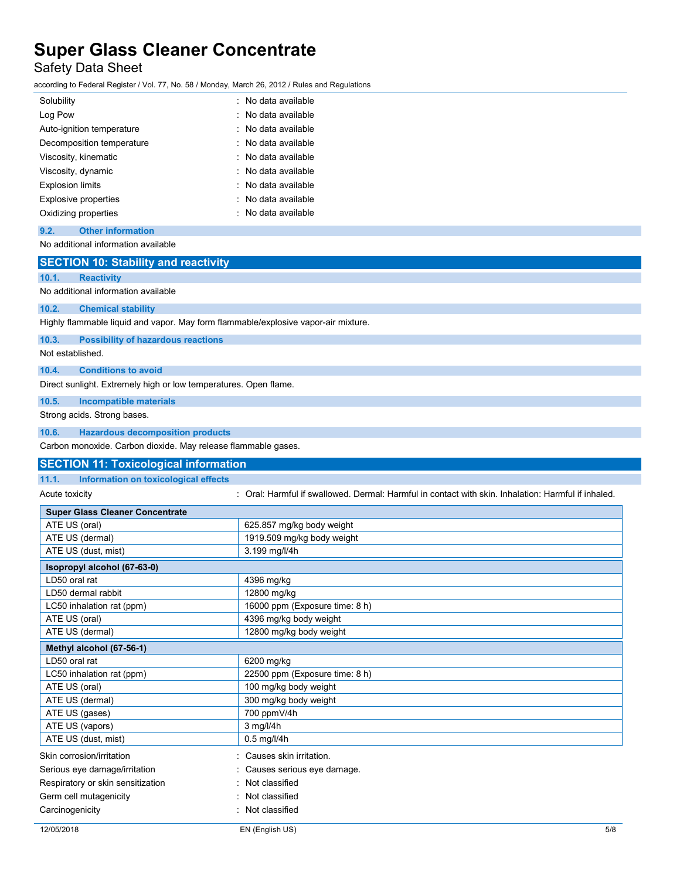## Safety Data Sheet

according to Federal Register / Vol. 77, No. 58 / Monday, March 26, 2012 / Rules and Regulations

| Solubility                                                                         | : No data available                                                                                 |
|------------------------------------------------------------------------------------|-----------------------------------------------------------------------------------------------------|
| Log Pow                                                                            | No data available                                                                                   |
| Auto-ignition temperature                                                          | : No data available                                                                                 |
| Decomposition temperature                                                          | No data available                                                                                   |
| Viscosity, kinematic                                                               | No data available                                                                                   |
| Viscosity, dynamic                                                                 | No data available                                                                                   |
| <b>Explosion limits</b>                                                            | No data available                                                                                   |
|                                                                                    | : No data available                                                                                 |
| <b>Explosive properties</b>                                                        |                                                                                                     |
| Oxidizing properties                                                               | : No data available                                                                                 |
| <b>Other information</b><br>9.2.                                                   |                                                                                                     |
| No additional information available                                                |                                                                                                     |
| <b>SECTION 10: Stability and reactivity</b>                                        |                                                                                                     |
| 10.1.<br><b>Reactivity</b>                                                         |                                                                                                     |
| No additional information available                                                |                                                                                                     |
|                                                                                    |                                                                                                     |
| 10.2.<br><b>Chemical stability</b>                                                 |                                                                                                     |
| Highly flammable liquid and vapor. May form flammable/explosive vapor-air mixture. |                                                                                                     |
| 10.3.<br><b>Possibility of hazardous reactions</b>                                 |                                                                                                     |
| Not established.                                                                   |                                                                                                     |
| 10.4.<br><b>Conditions to avoid</b>                                                |                                                                                                     |
|                                                                                    |                                                                                                     |
| Direct sunlight. Extremely high or low temperatures. Open flame.                   |                                                                                                     |
| 10.5.<br><b>Incompatible materials</b>                                             |                                                                                                     |
| Strong acids. Strong bases.                                                        |                                                                                                     |
| 10.6.<br><b>Hazardous decomposition products</b>                                   |                                                                                                     |
| Carbon monoxide. Carbon dioxide. May release flammable gases.                      |                                                                                                     |
|                                                                                    |                                                                                                     |
|                                                                                    |                                                                                                     |
| <b>SECTION 11: Toxicological information</b>                                       |                                                                                                     |
| 11.1.<br>Information on toxicological effects                                      |                                                                                                     |
| Acute toxicity                                                                     | : Oral: Harmful if swallowed. Dermal: Harmful in contact with skin. Inhalation: Harmful if inhaled. |
| <b>Super Glass Cleaner Concentrate</b>                                             |                                                                                                     |
| ATE US (oral)                                                                      | 625.857 mg/kg body weight                                                                           |
| ATE US (dermal)                                                                    | 1919.509 mg/kg body weight                                                                          |
| ATE US (dust, mist)                                                                | 3.199 mg/l/4h                                                                                       |
| Isopropyl alcohol (67-63-0)                                                        |                                                                                                     |
| LD50 oral rat                                                                      | 4396 mg/kg                                                                                          |
| LD50 dermal rabbit                                                                 | 12800 mg/kg                                                                                         |
| LC50 inhalation rat (ppm)                                                          | 16000 ppm (Exposure time: 8 h)                                                                      |
| ATE US (oral)                                                                      | 4396 mg/kg body weight                                                                              |
| ATE US (dermal)                                                                    | 12800 mg/kg body weight                                                                             |
|                                                                                    |                                                                                                     |
| Methyl alcohol (67-56-1)                                                           |                                                                                                     |
| LD50 oral rat                                                                      | 6200 mg/kg                                                                                          |
| LC50 inhalation rat (ppm)                                                          | 22500 ppm (Exposure time: 8 h)                                                                      |
| ATE US (oral)                                                                      | 100 mg/kg body weight                                                                               |
| ATE US (dermal)                                                                    | 300 mg/kg body weight                                                                               |
| ATE US (gases)                                                                     | 700 ppmV/4h                                                                                         |
| ATE US (vapors)                                                                    | 3 mg/l/4h                                                                                           |
| ATE US (dust, mist)                                                                | $\overline{0.5}$ mg/l/4h                                                                            |
| Skin corrosion/irritation                                                          | : Causes skin irritation.                                                                           |
| Serious eye damage/irritation                                                      | Causes serious eye damage.                                                                          |
| Respiratory or skin sensitization                                                  | Not classified                                                                                      |
| Germ cell mutagenicity                                                             | Not classified                                                                                      |
| Carcinogenicity                                                                    | : Not classified                                                                                    |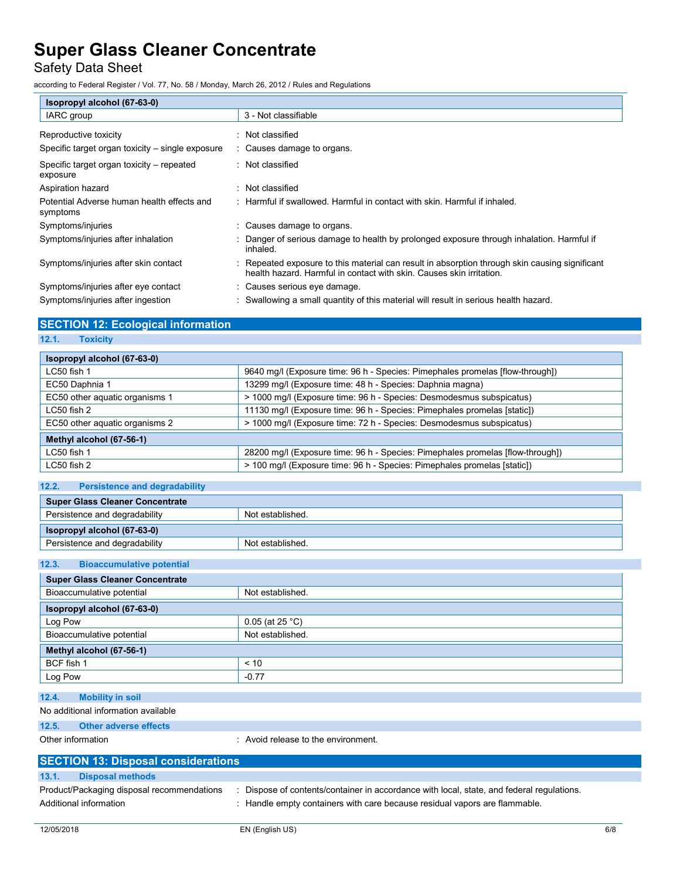### Safety Data Sheet

according to Federal Register / Vol. 77, No. 58 / Monday, March 26, 2012 / Rules and Regulations

| Isopropyl alcohol (67-63-0)                            |                                                                                                                                                                      |
|--------------------------------------------------------|----------------------------------------------------------------------------------------------------------------------------------------------------------------------|
| IARC group                                             | 3 - Not classifiable                                                                                                                                                 |
| Reproductive toxicity                                  | : Not classified                                                                                                                                                     |
| Specific target organ toxicity – single exposure       | : Causes damage to organs.                                                                                                                                           |
| Specific target organ toxicity – repeated<br>exposure  | : Not classified                                                                                                                                                     |
| Aspiration hazard                                      | : Not classified                                                                                                                                                     |
| Potential Adverse human health effects and<br>symptoms | : Harmful if swallowed. Harmful in contact with skin. Harmful if inhaled.                                                                                            |
| Symptoms/injuries                                      | : Causes damage to organs.                                                                                                                                           |
| Symptoms/injuries after inhalation                     | Danger of serious damage to health by prolonged exposure through inhalation. Harmful if<br>inhaled.                                                                  |
| Symptoms/injuries after skin contact                   | Repeated exposure to this material can result in absorption through skin causing significant<br>health hazard. Harmful in contact with skin. Causes skin irritation. |
| Symptoms/injuries after eye contact                    | : Causes serious eye damage.                                                                                                                                         |
| Symptoms/injuries after ingestion                      | Swallowing a small quantity of this material will result in serious health hazard.                                                                                   |

### **SECTION 12: Ecological information**

### **12.1. Toxicity**

| Isopropyl alcohol (67-63-0)    |                                                                                |  |
|--------------------------------|--------------------------------------------------------------------------------|--|
| $LC50$ fish 1                  | 9640 mg/l (Exposure time: 96 h - Species: Pimephales promelas [flow-through])  |  |
| EC50 Daphnia 1                 | 13299 mg/l (Exposure time: 48 h - Species: Daphnia magna)                      |  |
| EC50 other aquatic organisms 1 | > 1000 mg/l (Exposure time: 96 h - Species: Desmodesmus subspicatus)           |  |
| $LC50$ fish 2                  | 11130 mg/l (Exposure time: 96 h - Species: Pimephales promelas [static])       |  |
| EC50 other aguatic organisms 2 | > 1000 mg/l (Exposure time: 72 h - Species: Desmodesmus subspicatus)           |  |
| Methyl alcohol (67-56-1)       |                                                                                |  |
| $LC50$ fish 1                  | 28200 mg/l (Exposure time: 96 h - Species: Pimephales promelas [flow-through]) |  |
| $LC50$ fish 2                  | > 100 mg/l (Exposure time: 96 h - Species: Pimephales promelas [static])       |  |

### **12.2. Persistence and degradability**

| Super Glass Cleaner Concentrate |                  |
|---------------------------------|------------------|
| Persistence and degradability   | Not established. |
|                                 |                  |
| Isopropyl alcohol (67-63-0)     |                  |

### **12.3. Bioaccumulative potential**

| <b>Super Glass Cleaner Concentrate</b> |                           |
|----------------------------------------|---------------------------|
| Bioaccumulative potential              | Not established.          |
| Isopropyl alcohol (67-63-0)            |                           |
| Log Pow                                | 0.05 (at 25 $^{\circ}$ C) |
| Bioaccumulative potential              | Not established.          |
| Methyl alcohol (67-56-1)               |                           |
| BCF fish 1                             | < 10                      |
| Log Pow                                | $-0.77$                   |

### **12.4. Mobility in soil**

### No additional information available

**12.5. Other adverse effects**

Other information **in the environment** of the environment.

| <b>SECTION 13: Disposal considerations</b> |                                            |  |                                                                                         |
|--------------------------------------------|--------------------------------------------|--|-----------------------------------------------------------------------------------------|
| 13.1.                                      | <b>Disposal methods</b>                    |  |                                                                                         |
|                                            | Product/Packaging disposal recommendations |  | Dispose of contents/container in accordance with local, state, and federal regulations. |
|                                            | Additional information                     |  | Handle empty containers with care because residual vapors are flammable.                |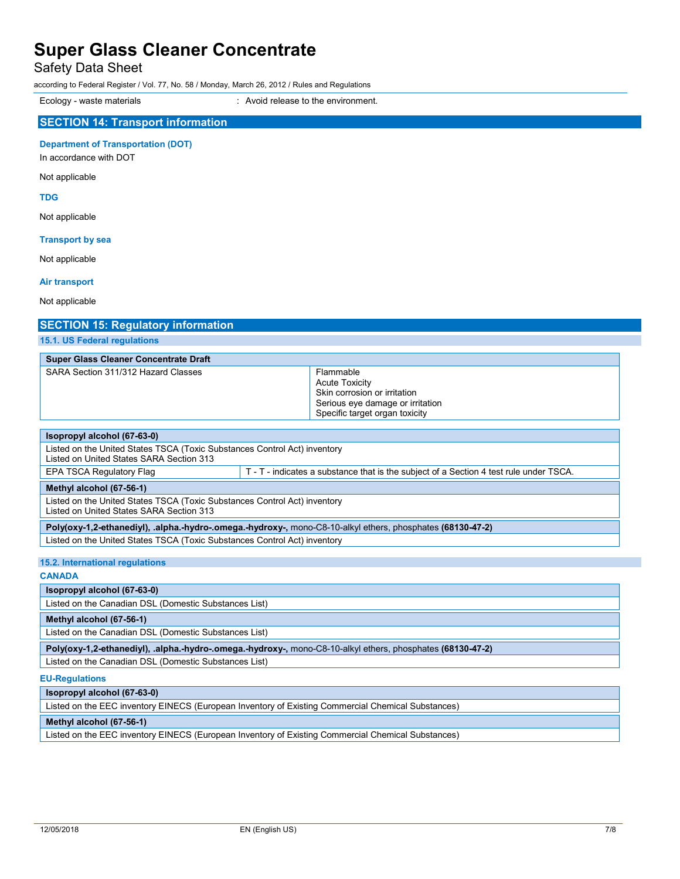Safety Data Sheet

according to Federal Register / Vol. 77, No. 58 / Monday, March 26, 2012 / Rules and Regulations

Ecology - waste materials **Ecology** - waste materials **interval** : Avoid release to the environment.

### **SECTION 14: Transport information**

**Department of Transportation (DOT)**

In accordance with DOT

Not applicable

**TDG**

Not applicable

### **Transport by sea**

Not applicable

### **Air transport**

Not applicable

## **SECTION 15: Regulatory information**

**15.1. US Federal regulations**

|  | <b>Super Glass Cleaner Concentrate Draft</b> |  |
|--|----------------------------------------------|--|
|  |                                              |  |

| SARA Section 311/312 Hazard Classes                                                                                   | Flammable<br><b>Acute Toxicity</b><br>Skin corrosion or irritation<br>Serious eye damage or irritation<br>Specific target organ toxicity |  |
|-----------------------------------------------------------------------------------------------------------------------|------------------------------------------------------------------------------------------------------------------------------------------|--|
|                                                                                                                       |                                                                                                                                          |  |
| Isopropyl alcohol (67-63-0)                                                                                           |                                                                                                                                          |  |
| Listed on the United States TSCA (Toxic Substances Control Act) inventory<br>Listed on United States SARA Section 313 |                                                                                                                                          |  |
| EPA TSCA Regulatory Flag                                                                                              | T - T - indicates a substance that is the subject of a Section 4 test rule under TSCA.                                                   |  |
| Methyl alcohol (67-56-1)                                                                                              |                                                                                                                                          |  |
| Listed on the United States TSCA (Toxic Substances Control Act) inventory<br>Listed on United States SARA Section 313 |                                                                                                                                          |  |

**Poly(oxy-1,2-ethanediyl), .alpha.-hydro-.omega.-hydroxy-,** mono-C8-10-alkyl ethers, phosphates **(68130-47-2)** Listed on the United States TSCA (Toxic Substances Control Act) inventory

**15.2. International regulations**

### **CANADA**

**Isopropyl alcohol (67-63-0)**

Listed on the Canadian DSL (Domestic Substances List)

### **Methyl alcohol (67-56-1)**

Listed on the Canadian DSL (Domestic Substances List)

**Poly(oxy-1,2-ethanediyl), .alpha.-hydro-.omega.-hydroxy-,** mono-C8-10-alkyl ethers, phosphates **(68130-47-2)**

Listed on the Canadian DSL (Domestic Substances List)

### **EU-Regulations**

**Isopropyl alcohol (67-63-0)**

Listed on the EEC inventory EINECS (European Inventory of Existing Commercial Chemical Substances)

### **Methyl alcohol (67-56-1)**

Listed on the EEC inventory EINECS (European Inventory of Existing Commercial Chemical Substances)